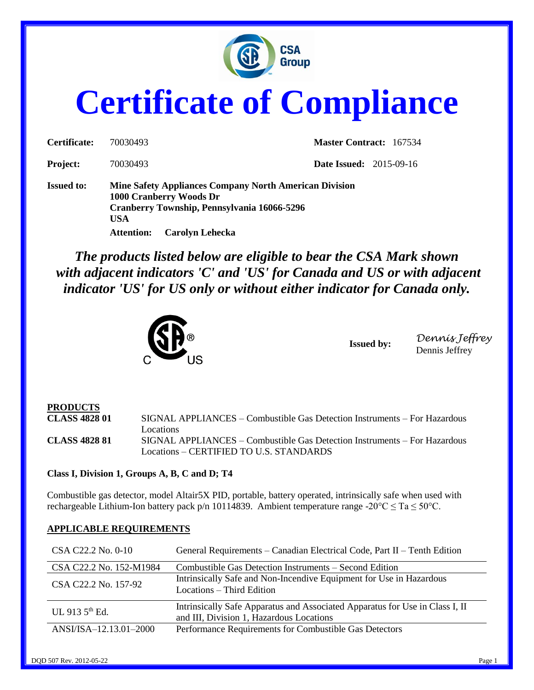

# **Certificate of Compliance**

| Certificate:      | 70030493                                                                                                                                                                                             | <b>Master Contract: 167534</b> |
|-------------------|------------------------------------------------------------------------------------------------------------------------------------------------------------------------------------------------------|--------------------------------|
| <b>Project:</b>   | 70030493                                                                                                                                                                                             | <b>Date Issued:</b> 2015-09-16 |
| <b>Issued to:</b> | <b>Mine Safety Appliances Company North American Division</b><br>1000 Cranberry Woods Dr<br>Cranberry Township, Pennsylvania 16066-5296<br><b>USA</b><br><b>Carolyn Lehecka</b><br><b>Attention:</b> |                                |

*The products listed below are eligible to bear the CSA Mark shown with adjacent indicators 'C' and 'US' for Canada and US or with adjacent indicator 'US' for US only or without either indicator for Canada only.*



**Issued by:** *Dennis Jeffrey* Dennis Jeffrey

## **PRODUCTS**

**CLASS 4828 01** SIGNAL APPLIANCES – Combustible Gas Detection Instruments – For Hazardous Locations **CLASS 4828 81** SIGNAL APPLIANCES – Combustible Gas Detection Instruments – For Hazardous Locations – CERTIFIED TO U.S. STANDARDS

**Class I, Division 1, Groups A, B, C and D; T4**

Combustible gas detector, model Altair5X PID, portable, battery operated, intrinsically safe when used with rechargeable Lithium-Ion battery pack p/n 10114839. Ambient temperature range -20 $^{\circ}$ C  $\leq$  Ta  $\leq$  50 $^{\circ}$ C.

#### **APPLICABLE REQUIREMENTS**

| CSA C22.2 No. 0-10         | General Requirements – Canadian Electrical Code, Part II – Tenth Edition                                                 |
|----------------------------|--------------------------------------------------------------------------------------------------------------------------|
| CSA C22.2 No. 152-M1984    | Combustible Gas Detection Instruments – Second Edition                                                                   |
| CSA C22.2 No. 157-92       | Intrinsically Safe and Non-Incendive Equipment for Use in Hazardous<br>Locations – Third Edition                         |
| UL 913 $5^{\text{th}}$ Ed. | Intrinsically Safe Apparatus and Associated Apparatus for Use in Class I, II<br>and III, Division 1, Hazardous Locations |
| ANSI/ISA-12.13.01-2000     | Performance Requirements for Combustible Gas Detectors                                                                   |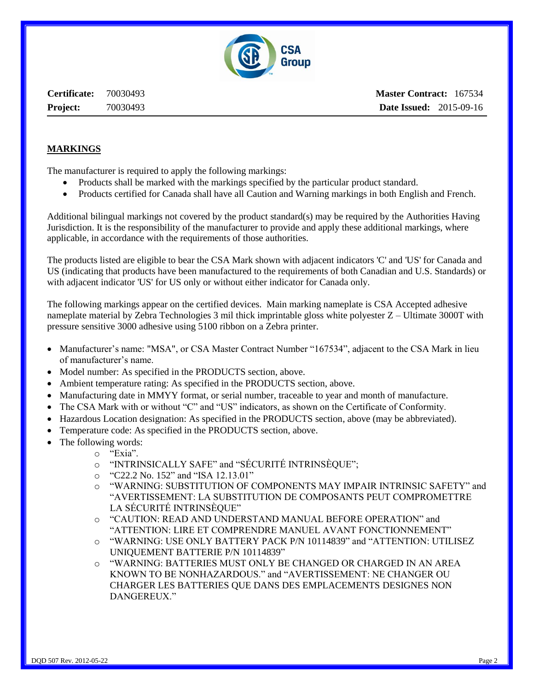

**Certificate:** 70030493 **Project:** 70030493

#### **MARKINGS**

The manufacturer is required to apply the following markings:

- Products shall be marked with the markings specified by the particular product standard.
- Products certified for Canada shall have all Caution and Warning markings in both English and French.

Additional bilingual markings not covered by the product standard(s) may be required by the Authorities Having Jurisdiction. It is the responsibility of the manufacturer to provide and apply these additional markings, where applicable, in accordance with the requirements of those authorities.

The products listed are eligible to bear the CSA Mark shown with adjacent indicators 'C' and 'US' for Canada and US (indicating that products have been manufactured to the requirements of both Canadian and U.S. Standards) or with adjacent indicator 'US' for US only or without either indicator for Canada only.

The following markings appear on the certified devices. Main marking nameplate is CSA Accepted adhesive nameplate material by Zebra Technologies 3 mil thick imprintable gloss white polyester Z – Ultimate 3000T with pressure sensitive 3000 adhesive using 5100 ribbon on a Zebra printer.

- Manufacturer's name: "MSA", or CSA Master Contract Number "167534", adjacent to the CSA Mark in lieu of manufacturer's name.
- Model number: As specified in the PRODUCTS section, above.
- Ambient temperature rating: As specified in the PRODUCTS section, above.
- Manufacturing date in MMYY format, or serial number, traceable to year and month of manufacture.
- The CSA Mark with or without "C" and "US" indicators, as shown on the Certificate of Conformity.
- Hazardous Location designation: As specified in the PRODUCTS section, above (may be abbreviated).
- Temperature code: As specified in the PRODUCTS section, above.
- The following words:
	- o "Exia".
		- o "INTRINSICALLY SAFE" and "SÉCURITÉ INTRINSÈQUE";
		- o "C22.2 No. 152" and "ISA 12.13.01"
		- o "WARNING: SUBSTITUTION OF COMPONENTS MAY IMPAIR INTRINSIC SAFETY" and "AVERTISSEMENT: LA SUBSTITUTION DE COMPOSANTS PEUT COMPROMETTRE LA SÉCURITÉ INTRINSÈQUE"
		- o "CAUTION: READ AND UNDERSTAND MANUAL BEFORE OPERATION" and "ATTENTION: LIRE ET COMPRENDRE MANUEL AVANT FONCTIONNEMENT"
		- o "WARNING: USE ONLY BATTERY PACK P/N 10114839" and "ATTENTION: UTILISEZ UNIQUEMENT BATTERIE P/N 10114839"
		- o "WARNING: BATTERIES MUST ONLY BE CHANGED OR CHARGED IN AN AREA KNOWN TO BE NONHAZARDOUS." and "AVERTISSEMENT: NE CHANGER OU CHARGER LES BATTERIES QUE DANS DES EMPLACEMENTS DESIGNES NON DANGEREUX."